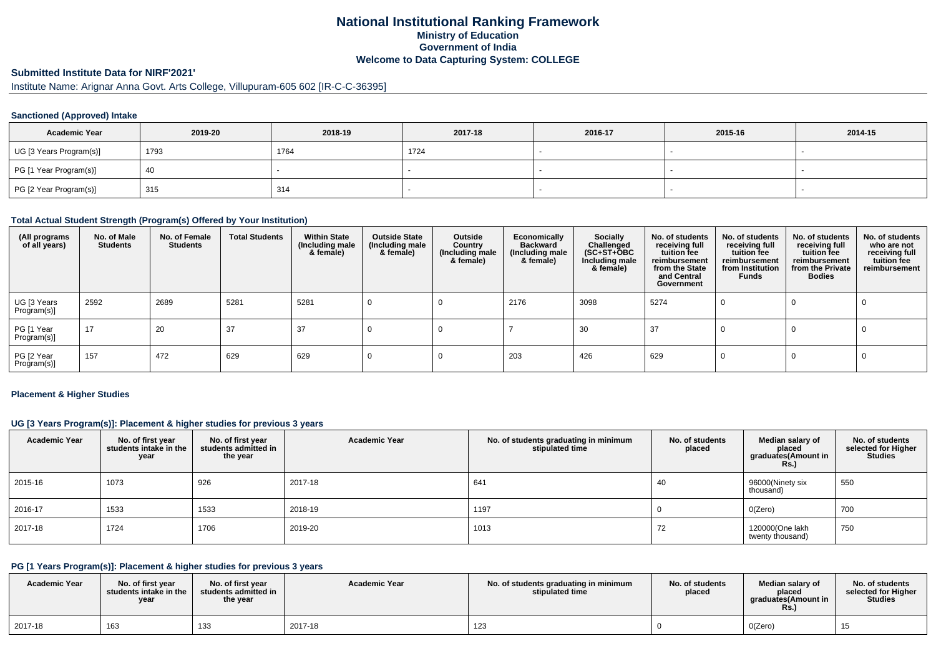## **National Institutional Ranking FrameworkMinistry of Education Government of IndiaWelcome to Data Capturing System: COLLEGE**

## **Submitted Institute Data for NIRF'2021'**

# Institute Name: Arignar Anna Govt. Arts College, Villupuram-605 602 [IR-C-C-36395]

### **Sanctioned (Approved) Intake**

| <b>Academic Year</b>    | 2019-20 | 2018-19 | 2017-18 | 2016-17 | 2015-16 | 2014-15 |
|-------------------------|---------|---------|---------|---------|---------|---------|
| UG [3 Years Program(s)] | 1793    | 1764    | 1724    |         |         |         |
| PG [1 Year Program(s)]  | 40      |         |         |         |         |         |
| PG [2 Year Program(s)]  | 315     | 314     |         |         |         |         |

### **Total Actual Student Strength (Program(s) Offered by Your Institution)**

| (All programs<br>of all years) | No. of Male<br><b>Students</b> | No. of Female<br><b>Students</b> | <b>Total Students</b> | <b>Within State</b><br>(Including male<br>& female) | <b>Outside State</b><br>(Including male<br>& female) | Outside<br>Country<br>(Including male<br>& female) | Economically<br><b>Backward</b><br>(Including male<br>& female) | Socially<br>Challenged<br>$(SC+ST+\text{O}BC)$<br>Including male<br>& female) | No. of students<br>receiving full<br>tuition fee<br>reimbursement<br>from the State<br>and Central<br>Government | No. of students<br>receiving full<br>tuition fee<br>reimbursement<br>from Institution<br>Funds | No. of students<br>receiving full<br>tuition fee<br>reimbursement<br>from the Private<br><b>Bodies</b> | No. of students<br>who are not<br>receiving full<br>tuition fee<br>reimbursement |
|--------------------------------|--------------------------------|----------------------------------|-----------------------|-----------------------------------------------------|------------------------------------------------------|----------------------------------------------------|-----------------------------------------------------------------|-------------------------------------------------------------------------------|------------------------------------------------------------------------------------------------------------------|------------------------------------------------------------------------------------------------|--------------------------------------------------------------------------------------------------------|----------------------------------------------------------------------------------|
| UG [3 Years<br>Program(s)]     | 2592                           | 2689                             | 5281                  | 5281                                                |                                                      |                                                    | 2176                                                            | 3098                                                                          | 5274                                                                                                             |                                                                                                |                                                                                                        |                                                                                  |
| PG [1 Year<br>Program(s)]      | 17                             | 20                               | 37                    | 37                                                  |                                                      |                                                    |                                                                 | 30                                                                            | 37                                                                                                               |                                                                                                |                                                                                                        |                                                                                  |
| PG [2 Year<br>Program(s)]      | 157                            | 472                              | 629                   | 629                                                 |                                                      |                                                    | 203                                                             | 426                                                                           | 629                                                                                                              |                                                                                                |                                                                                                        |                                                                                  |

#### **Placement & Higher Studies**

### **UG [3 Years Program(s)]: Placement & higher studies for previous 3 years**

| <b>Academic Year</b> | No. of first year<br>students intake in the<br>year | No. of first year<br>students admitted in<br>the year | <b>Academic Year</b> | No. of students graduating in minimum<br>stipulated time | No. of students<br>placed | Median salary of<br>placed<br>graduates(Amount in<br><b>Rs.)</b> | No. of students<br>selected for Higher<br><b>Studies</b> |
|----------------------|-----------------------------------------------------|-------------------------------------------------------|----------------------|----------------------------------------------------------|---------------------------|------------------------------------------------------------------|----------------------------------------------------------|
| 2015-16              | 1073                                                | 926                                                   | 2017-18              | 641                                                      | 40                        | 96000(Ninety six<br>thousand)                                    | 550                                                      |
| 2016-17              | 1533                                                | 1533                                                  | 2018-19              | 1197                                                     |                           | O(Zero)                                                          | 700                                                      |
| 2017-18              | 1724                                                | 1706                                                  | 2019-20              | 1013                                                     | 72                        | 120000(One lakh<br>twenty thousand)                              | 750                                                      |

### **PG [1 Years Program(s)]: Placement & higher studies for previous 3 years**

| <b>Academic Year</b> | No. of first vear<br>students intake in the<br>vear | No. of first year<br>students admitted in<br>the year | <b>Academic Year</b> | No. of students graduating in minimum<br>stipulated time | No. of students<br>placed | Median salary of<br>placed<br>araduates(Amount in<br>Rs. | No. of students<br>selected for Higher<br><b>Studies</b> |
|----------------------|-----------------------------------------------------|-------------------------------------------------------|----------------------|----------------------------------------------------------|---------------------------|----------------------------------------------------------|----------------------------------------------------------|
| 2017-18              | 163                                                 | 133                                                   | 2017-18              | 123                                                      |                           | O(Zero)                                                  | ں ا                                                      |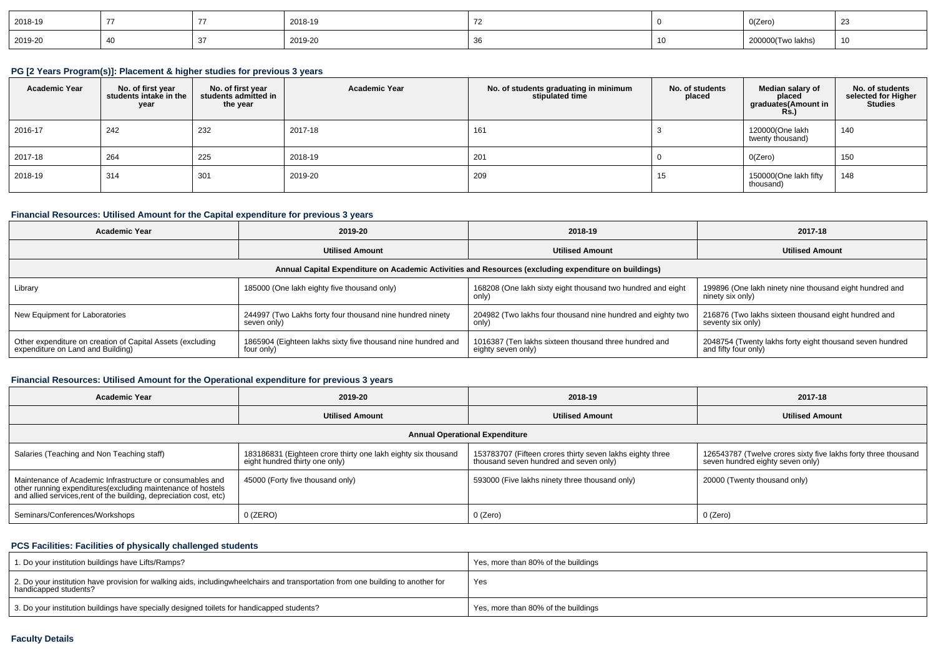| 2018-19 |  | 2018-19 |  | O(Zero)                                                                                                                                                                                                                                       | $\sim$ |
|---------|--|---------|--|-----------------------------------------------------------------------------------------------------------------------------------------------------------------------------------------------------------------------------------------------|--------|
| 2019-20 |  | 2019-20 |  | j wo lakhs'<br>and the contract of the contract of the contract of the contract of the contract of the contract of the contract of the contract of the contract of the contract of the contract of the contract of the contract of the contra | 10     |

## **PG [2 Years Program(s)]: Placement & higher studies for previous 3 years**

| <b>Academic Year</b> | No. of first year<br>students intake in the<br>year | No. of first year<br>students admitted in<br>the year | <b>Academic Year</b> | No. of students graduating in minimum<br>stipulated time | No. of students<br>placed | Median salary of<br>placed<br>graduates(Amount in<br><b>Rs.)</b> | No. of students<br>selected for Higher<br><b>Studies</b> |
|----------------------|-----------------------------------------------------|-------------------------------------------------------|----------------------|----------------------------------------------------------|---------------------------|------------------------------------------------------------------|----------------------------------------------------------|
| 2016-17              | 242                                                 | 232                                                   | 2017-18              | 161                                                      |                           | 120000(One lakh<br>twenty thousand)                              | 140                                                      |
| 2017-18              | 264                                                 | 225                                                   | 2018-19              | 201                                                      |                           | O(Zero)                                                          | 150                                                      |
| 2018-19              | 314                                                 | 301                                                   | 2019-20              | 209                                                      | ں ا                       | 150000(One lakh fifty<br>thousand)                               | 148                                                      |

## **Financial Resources: Utilised Amount for the Capital expenditure for previous 3 years**

| <b>Academic Year</b>                                                                            | 2019-20                                                                    | 2018-19                                                                                              | 2017-18                                                                          |
|-------------------------------------------------------------------------------------------------|----------------------------------------------------------------------------|------------------------------------------------------------------------------------------------------|----------------------------------------------------------------------------------|
|                                                                                                 | <b>Utilised Amount</b>                                                     | <b>Utilised Amount</b>                                                                               | <b>Utilised Amount</b>                                                           |
|                                                                                                 |                                                                            | Annual Capital Expenditure on Academic Activities and Resources (excluding expenditure on buildings) |                                                                                  |
| Library                                                                                         | 185000 (One lakh eighty five thousand only)                                | 168208 (One lakh sixty eight thousand two hundred and eight<br>only)                                 | 199896 (One lakh ninety nine thousand eight hundred and<br>ninety six only)      |
| New Equipment for Laboratories                                                                  | 244997 (Two Lakhs forty four thousand nine hundred ninety<br>seven only)   | 204982 (Two lakhs four thousand nine hundred and eighty two<br>only)                                 | 216876 (Two lakhs sixteen thousand eight hundred and<br>seventy six only)        |
| Other expenditure on creation of Capital Assets (excluding<br>expenditure on Land and Building) | 1865904 (Eighteen lakhs sixty five thousand nine hundred and<br>four only) | 1016387 (Ten lakhs sixteen thousand three hundred and<br>eighty seven only)                          | 2048754 (Twenty lakhs forty eight thousand seven hundred<br>and fifty four only) |

## **Financial Resources: Utilised Amount for the Operational expenditure for previous 3 years**

| <b>Academic Year</b>                                                                                                                                                                            | 2019-20                                                                                         | 2018-19                                                                                             | 2017-18                                                                                            |
|-------------------------------------------------------------------------------------------------------------------------------------------------------------------------------------------------|-------------------------------------------------------------------------------------------------|-----------------------------------------------------------------------------------------------------|----------------------------------------------------------------------------------------------------|
|                                                                                                                                                                                                 | <b>Utilised Amount</b>                                                                          |                                                                                                     | <b>Utilised Amount</b>                                                                             |
|                                                                                                                                                                                                 |                                                                                                 | <b>Annual Operational Expenditure</b>                                                               |                                                                                                    |
| Salaries (Teaching and Non Teaching staff)                                                                                                                                                      | 183186831 (Eighteen crore thirty one lakh eighty six thousand<br>eight hundred thirty one only) | 153783707 (Fifteen crores thirty seven lakhs eighty three<br>thousand seven hundred and seven only) | 126543787 (Twelve crores sixty five lakhs forty three thousand<br>seven hundred eighty seven only) |
| Maintenance of Academic Infrastructure or consumables and<br>other running expenditures (excluding maintenance of hostels<br>and allied services, rent of the building, depreciation cost, etc) | 45000 (Forty five thousand only)                                                                | 593000 (Five lakhs ninety three thousand only)                                                      | 20000 (Twenty thousand only)                                                                       |
| Seminars/Conferences/Workshops                                                                                                                                                                  | $0$ (ZERO)                                                                                      | 0 (Zero)                                                                                            | 0 (Zero)                                                                                           |

## **PCS Facilities: Facilities of physically challenged students**

| 1. Do your institution buildings have Lifts/Ramps?                                                                                                        | Yes, more than 80% of the buildings |
|-----------------------------------------------------------------------------------------------------------------------------------------------------------|-------------------------------------|
| 2. Do your institution have provision for walking aids, includingwheelchairs and transportation from one building to another for<br>handicapped students? | Yes                                 |
| 3. Do your institution buildings have specially designed toilets for handicapped students?                                                                | Yes, more than 80% of the buildings |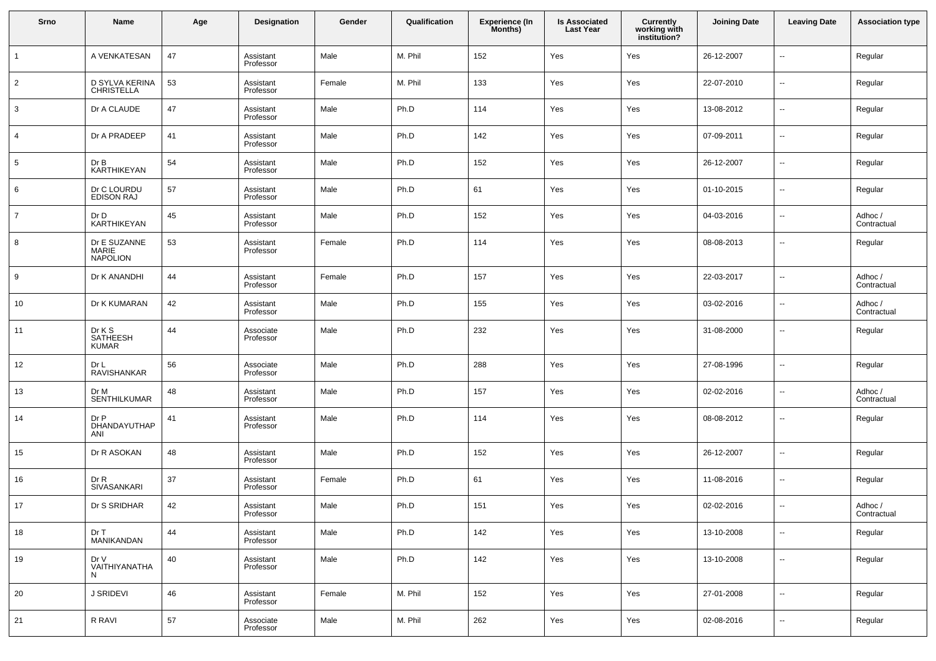| Srno           | Name                                     | Age | Designation            | Gender | Qualification | <b>Experience (In</b><br>Months) | <b>Is Associated</b><br><b>Last Year</b> | <b>Currently</b><br>working with<br>institution? | <b>Joining Date</b> | <b>Leaving Date</b>      | <b>Association type</b> |
|----------------|------------------------------------------|-----|------------------------|--------|---------------|----------------------------------|------------------------------------------|--------------------------------------------------|---------------------|--------------------------|-------------------------|
| $\mathbf{1}$   | A VENKATESAN                             | 47  | Assistant<br>Professor | Male   | M. Phil       | 152                              | Yes                                      | Yes                                              | 26-12-2007          | ц,                       | Regular                 |
| $\overline{2}$ | D SYLVA KERINA<br><b>CHRISTELLA</b>      | 53  | Assistant<br>Professor | Female | M. Phil       | 133                              | Yes                                      | Yes                                              | 22-07-2010          | $\sim$                   | Regular                 |
| 3              | Dr A CLAUDE                              | 47  | Assistant<br>Professor | Male   | Ph.D          | 114                              | Yes                                      | Yes                                              | 13-08-2012          | $\sim$                   | Regular                 |
| 4              | Dr A PRADEEP                             | 41  | Assistant<br>Professor | Male   | Ph.D          | 142                              | Yes                                      | Yes                                              | 07-09-2011          | $\overline{\phantom{a}}$ | Regular                 |
| 5              | Dr B<br>KARTHIKEYAN                      | 54  | Assistant<br>Professor | Male   | Ph.D          | 152                              | Yes                                      | Yes                                              | 26-12-2007          | $\sim$                   | Regular                 |
| 6              | Dr C LOURDU<br><b>EDISON RAJ</b>         | 57  | Assistant<br>Professor | Male   | Ph.D          | 61                               | Yes                                      | Yes                                              | 01-10-2015          | $\sim$                   | Regular                 |
| $\overline{7}$ | Dr D<br>KARTHIKEYAN                      | 45  | Assistant<br>Professor | Male   | Ph.D          | 152                              | Yes                                      | Yes                                              | 04-03-2016          | $\overline{\phantom{a}}$ | Adhoc /<br>Contractual  |
| 8              | Dr E SUZANNE<br>MARIE<br><b>NAPOLION</b> | 53  | Assistant<br>Professor | Female | Ph.D          | 114                              | Yes                                      | Yes                                              | 08-08-2013          | $\sim$                   | Regular                 |
| 9              | Dr K ANANDHI                             | 44  | Assistant<br>Professor | Female | Ph.D          | 157                              | Yes                                      | Yes                                              | 22-03-2017          | $\ddotsc$                | Adhoc/<br>Contractual   |
| 10             | Dr K KUMARAN                             | 42  | Assistant<br>Professor | Male   | Ph.D          | 155                              | Yes                                      | Yes                                              | 03-02-2016          | $\overline{\phantom{a}}$ | Adhoc /<br>Contractual  |
| 11             | Dr K S<br>SATHEESH<br><b>KUMAR</b>       | 44  | Associate<br>Professor | Male   | Ph.D          | 232                              | Yes                                      | Yes                                              | 31-08-2000          | $\ddotsc$                | Regular                 |
| 12             | Dr L<br><b>RAVISHANKAR</b>               | 56  | Associate<br>Professor | Male   | Ph.D          | 288                              | Yes                                      | Yes                                              | 27-08-1996          | $\overline{\phantom{a}}$ | Regular                 |
| 13             | Dr M<br>SENTHILKUMAR                     | 48  | Assistant<br>Professor | Male   | Ph.D          | 157                              | Yes                                      | Yes                                              | 02-02-2016          | ц,                       | Adhoc /<br>Contractual  |
| 14             | Dr P<br>DHANDAYUTHAP<br>ANI              | 41  | Assistant<br>Professor | Male   | Ph.D          | 114                              | Yes                                      | Yes                                              | 08-08-2012          | ц,                       | Regular                 |
| 15             | Dr R ASOKAN                              | 48  | Assistant<br>Professor | Male   | Ph.D          | 152                              | Yes                                      | Yes                                              | 26-12-2007          | $\sim$                   | Regular                 |
| 16             | Dr R<br>SIVASANKARI                      | 37  | Assistant<br>Professor | Female | Ph.D          | 61                               | Yes                                      | Yes                                              | 11-08-2016          | $\overline{\phantom{a}}$ | Regular                 |
| 17             | Dr S SRIDHAR                             | 42  | Assistant<br>Professor | Male   | Ph.D          | 151                              | Yes                                      | Yes                                              | 02-02-2016          | $\overline{\phantom{a}}$ | Adhoc/<br>Contractual   |
| 18             | Dr T<br>MANIKANDAN                       | 44  | Assistant<br>Professor | Male   | Ph.D          | 142                              | Yes                                      | Yes                                              | 13-10-2008          | $\ddotsc$                | Regular                 |
| 19             | Dr V<br>VAITHIYANATHA<br>N               | 40  | Assistant<br>Professor | Male   | Ph.D          | 142                              | Yes                                      | Yes                                              | 13-10-2008          | $\ddotsc$                | Regular                 |
| 20             | J SRIDEVI                                | 46  | Assistant<br>Professor | Female | M. Phil       | 152                              | Yes                                      | Yes                                              | 27-01-2008          | $\sim$                   | Regular                 |
| 21             | R RAVI                                   | 57  | Associate<br>Professor | Male   | M. Phil       | 262                              | Yes                                      | Yes                                              | 02-08-2016          | $\sim$                   | Regular                 |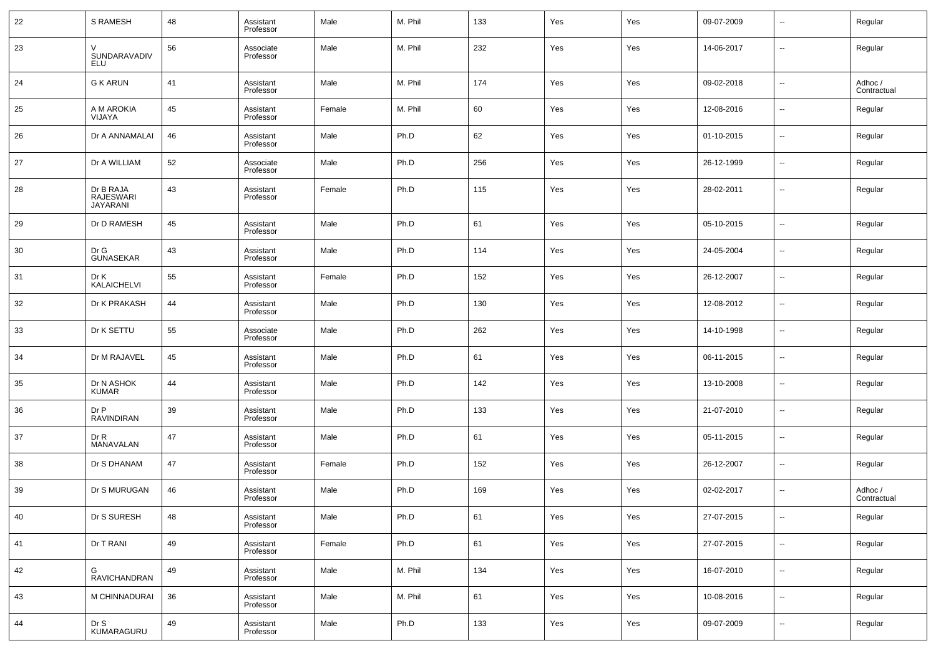| 22 | S RAMESH                                         | 48 | Assistant<br>Professor | Male   | M. Phil | 133 | Yes | Yes | 09-07-2009 | $\overline{\phantom{a}}$ | Regular                |
|----|--------------------------------------------------|----|------------------------|--------|---------|-----|-----|-----|------------|--------------------------|------------------------|
| 23 | $\vee$<br>SUNDARAVADIV<br>ELU                    | 56 | Associate<br>Professor | Male   | M. Phil | 232 | Yes | Yes | 14-06-2017 | $\overline{\phantom{a}}$ | Regular                |
| 24 | <b>G K ARUN</b>                                  | 41 | Assistant<br>Professor | Male   | M. Phil | 174 | Yes | Yes | 09-02-2018 | --                       | Adhoc /<br>Contractual |
| 25 | A M AROKIA<br>VIJAYA                             | 45 | Assistant<br>Professor | Female | M. Phil | 60  | Yes | Yes | 12-08-2016 | --                       | Regular                |
| 26 | Dr A ANNAMALAI                                   | 46 | Assistant<br>Professor | Male   | Ph.D    | 62  | Yes | Yes | 01-10-2015 | --                       | Regular                |
| 27 | Dr A WILLIAM                                     | 52 | Associate<br>Professor | Male   | Ph.D    | 256 | Yes | Yes | 26-12-1999 | --                       | Regular                |
| 28 | Dr B RAJA<br><b>RAJESWARI</b><br><b>JAYARANI</b> | 43 | Assistant<br>Professor | Female | Ph.D    | 115 | Yes | Yes | 28-02-2011 | --                       | Regular                |
| 29 | Dr D RAMESH                                      | 45 | Assistant<br>Professor | Male   | Ph.D    | 61  | Yes | Yes | 05-10-2015 | $\overline{\phantom{a}}$ | Regular                |
| 30 | Dr G<br><b>GUNASEKAR</b>                         | 43 | Assistant<br>Professor | Male   | Ph.D    | 114 | Yes | Yes | 24-05-2004 | $\overline{\phantom{a}}$ | Regular                |
| 31 | Dr K<br>KALAICHELVI                              | 55 | Assistant<br>Professor | Female | Ph.D    | 152 | Yes | Yes | 26-12-2007 | $\overline{\phantom{a}}$ | Regular                |
| 32 | Dr K PRAKASH                                     | 44 | Assistant<br>Professor | Male   | Ph.D    | 130 | Yes | Yes | 12-08-2012 | $\overline{\phantom{a}}$ | Regular                |
| 33 | Dr K SETTU                                       | 55 | Associate<br>Professor | Male   | Ph.D    | 262 | Yes | Yes | 14-10-1998 | $\overline{\phantom{a}}$ | Regular                |
| 34 | Dr M RAJAVEL                                     | 45 | Assistant<br>Professor | Male   | Ph.D    | 61  | Yes | Yes | 06-11-2015 | $\overline{\phantom{a}}$ | Regular                |
| 35 | Dr N ASHOK<br><b>KUMAR</b>                       | 44 | Assistant<br>Professor | Male   | Ph.D    | 142 | Yes | Yes | 13-10-2008 | $\overline{\phantom{a}}$ | Regular                |
| 36 | Dr P<br>RAVINDIRAN                               | 39 | Assistant<br>Professor | Male   | Ph.D    | 133 | Yes | Yes | 21-07-2010 | --                       | Regular                |
| 37 | Dr R<br>MANAVALAN                                | 47 | Assistant<br>Professor | Male   | Ph.D    | 61  | Yes | Yes | 05-11-2015 | $\overline{\phantom{a}}$ | Regular                |
| 38 | Dr S DHANAM                                      | 47 | Assistant<br>Professor | Female | Ph.D    | 152 | Yes | Yes | 26-12-2007 | --                       | Regular                |
| 39 | Dr S MURUGAN                                     | 46 | Assistant<br>Professor | Male   | Ph.D    | 169 | Yes | Yes | 02-02-2017 | --                       | Adhoc /<br>Contractual |
| 40 | Dr S SURESH                                      | 48 | Assistant<br>Professor | Male   | Ph.D    | 61  | Yes | Yes | 27-07-2015 | Ξ.                       | Regular                |
| 41 | Dr T RANI                                        | 49 | Assistant<br>Professor | Female | Ph.D    | 61  | Yes | Yes | 27-07-2015 | $\overline{\phantom{a}}$ | Regular                |
| 42 | G<br><b>RAVICHANDRAN</b>                         | 49 | Assistant<br>Professor | Male   | M. Phil | 134 | Yes | Yes | 16-07-2010 | $\sim$                   | Regular                |
| 43 | M CHINNADURAI                                    | 36 | Assistant<br>Professor | Male   | M. Phil | 61  | Yes | Yes | 10-08-2016 | $\overline{\phantom{a}}$ | Regular                |
| 44 | Dr S<br>KUMARAGURU                               | 49 | Assistant<br>Professor | Male   | Ph.D    | 133 | Yes | Yes | 09-07-2009 | $\sim$                   | Regular                |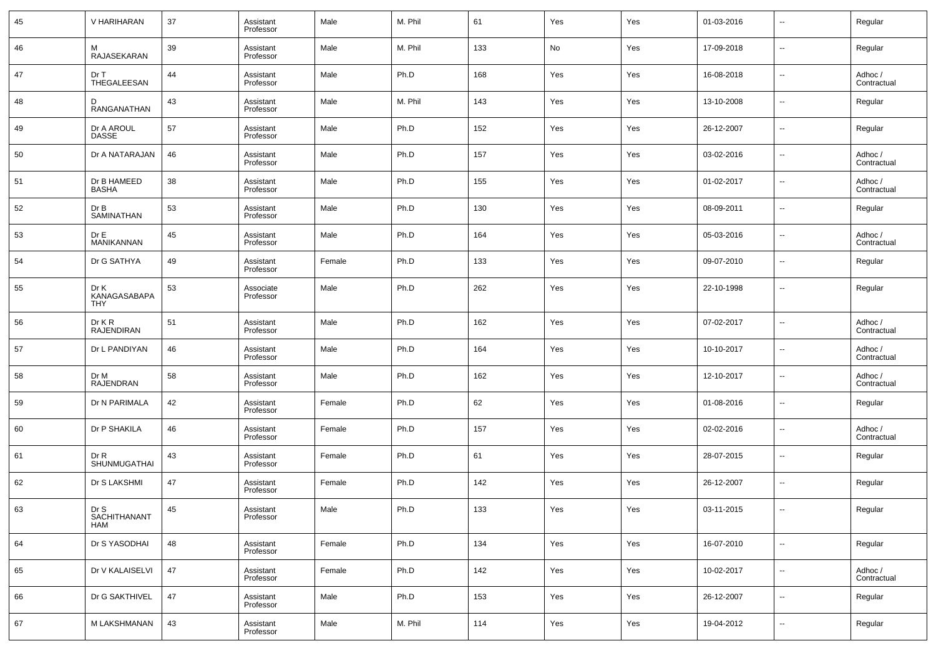| 45 | V HARIHARAN                        | 37 | Assistant<br>Professor | Male   | M. Phil | 61  | Yes | Yes | 01-03-2016 | $\overline{\phantom{a}}$ | Regular                |
|----|------------------------------------|----|------------------------|--------|---------|-----|-----|-----|------------|--------------------------|------------------------|
| 46 | м<br>RAJASEKARAN                   | 39 | Assistant<br>Professor | Male   | M. Phil | 133 | No  | Yes | 17-09-2018 | $\overline{\phantom{a}}$ | Regular                |
| 47 | Dr T<br>THEGALEESAN                | 44 | Assistant<br>Professor | Male   | Ph.D    | 168 | Yes | Yes | 16-08-2018 | $\overline{\phantom{a}}$ | Adhoc /<br>Contractual |
| 48 | D<br>RANGANATHAN                   | 43 | Assistant<br>Professor | Male   | M. Phil | 143 | Yes | Yes | 13-10-2008 | $\overline{\phantom{a}}$ | Regular                |
| 49 | Dr A AROUL<br><b>DASSE</b>         | 57 | Assistant<br>Professor | Male   | Ph.D    | 152 | Yes | Yes | 26-12-2007 | $\overline{\phantom{a}}$ | Regular                |
| 50 | Dr A NATARAJAN                     | 46 | Assistant<br>Professor | Male   | Ph.D    | 157 | Yes | Yes | 03-02-2016 | $\overline{\phantom{a}}$ | Adhoc /<br>Contractual |
| 51 | Dr B HAMEED<br><b>BASHA</b>        | 38 | Assistant<br>Professor | Male   | Ph.D    | 155 | Yes | Yes | 01-02-2017 | $\overline{\phantom{a}}$ | Adhoc /<br>Contractual |
| 52 | Dr B<br>SAMINATHAN                 | 53 | Assistant<br>Professor | Male   | Ph.D    | 130 | Yes | Yes | 08-09-2011 | $\overline{\phantom{a}}$ | Regular                |
| 53 | Dr E<br>MANIKANNAN                 | 45 | Assistant<br>Professor | Male   | Ph.D    | 164 | Yes | Yes | 05-03-2016 | ш.                       | Adhoc /<br>Contractual |
| 54 | Dr G SATHYA                        | 49 | Assistant<br>Professor | Female | Ph.D    | 133 | Yes | Yes | 09-07-2010 | $\overline{\phantom{a}}$ | Regular                |
| 55 | Dr K<br>KANAGASABAPA<br><b>THY</b> | 53 | Associate<br>Professor | Male   | Ph.D    | 262 | Yes | Yes | 22-10-1998 | --                       | Regular                |
| 56 | Dr K R<br><b>RAJENDIRAN</b>        | 51 | Assistant<br>Professor | Male   | Ph.D    | 162 | Yes | Yes | 07-02-2017 | ш.                       | Adhoc /<br>Contractual |
| 57 | Dr L PANDIYAN                      | 46 | Assistant<br>Professor | Male   | Ph.D    | 164 | Yes | Yes | 10-10-2017 | $\overline{\phantom{a}}$ | Adhoc /<br>Contractual |
| 58 | Dr M<br><b>RAJENDRAN</b>           | 58 | Assistant<br>Professor | Male   | Ph.D    | 162 | Yes | Yes | 12-10-2017 | ш.                       | Adhoc /<br>Contractual |
| 59 | Dr N PARIMALA                      | 42 | Assistant<br>Professor | Female | Ph.D    | 62  | Yes | Yes | 01-08-2016 | ш.                       | Regular                |
| 60 | Dr P SHAKILA                       | 46 | Assistant<br>Professor | Female | Ph.D    | 157 | Yes | Yes | 02-02-2016 | --                       | Adhoc /<br>Contractual |
| 61 | DrR<br>SHUNMUGATHAI                | 43 | Assistant<br>Professor | Female | Ph.D    | 61  | Yes | Yes | 28-07-2015 | --                       | Regular                |
| 62 | Dr S LAKSHMI                       | 47 | Assistant<br>Professor | Female | Ph.D    | 142 | Yes | Yes | 26-12-2007 | ш.                       | Regular                |
| 63 | Dr S<br>SACHITHANANT<br><b>HAM</b> | 45 | Assistant<br>Professor | Male   | Ph.D    | 133 | Yes | Yes | 03-11-2015 |                          | Regular                |
| 64 | Dr S YASODHAI                      | 48 | Assistant<br>Professor | Female | Ph.D    | 134 | Yes | Yes | 16-07-2010 | $\sim$                   | Regular                |
| 65 | Dr V KALAISELVI                    | 47 | Assistant<br>Professor | Female | Ph.D    | 142 | Yes | Yes | 10-02-2017 | $\sim$                   | Adhoc /<br>Contractual |
| 66 | Dr G SAKTHIVEL                     | 47 | Assistant<br>Professor | Male   | Ph.D    | 153 | Yes | Yes | 26-12-2007 | $\sim$                   | Regular                |
| 67 | M LAKSHMANAN                       | 43 | Assistant<br>Professor | Male   | M. Phil | 114 | Yes | Yes | 19-04-2012 | $\sim$                   | Regular                |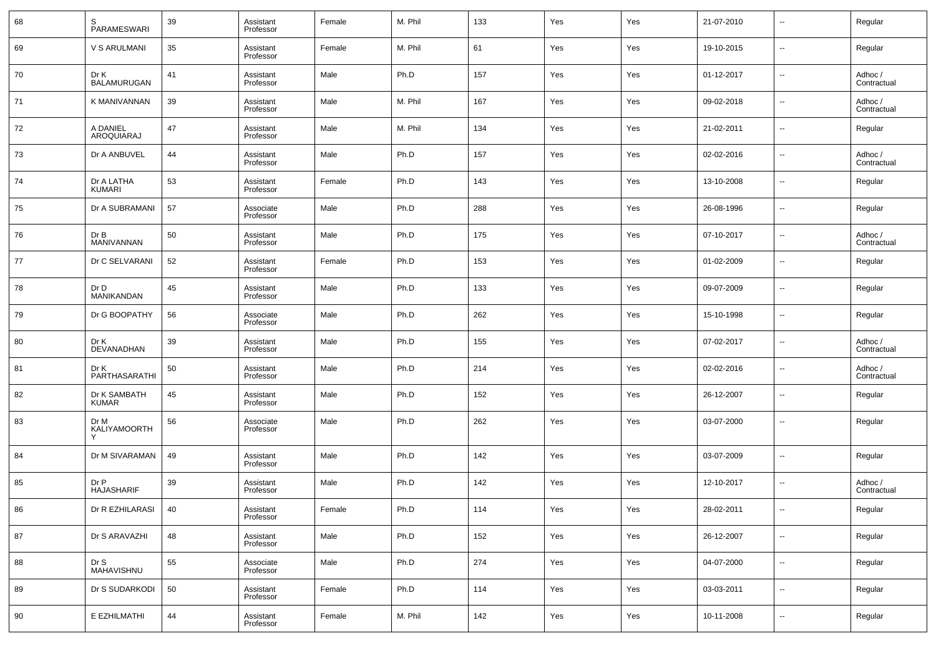| 68 | S<br><b>PARAMESWARI</b>      | 39 | Assistant<br>Professor | Female | M. Phil | 133 | Yes | Yes | 21-07-2010 | $\overline{\phantom{a}}$ | Regular                |
|----|------------------------------|----|------------------------|--------|---------|-----|-----|-----|------------|--------------------------|------------------------|
| 69 | <b>V S ARULMANI</b>          | 35 | Assistant<br>Professor | Female | M. Phil | 61  | Yes | Yes | 19-10-2015 | $\overline{\phantom{a}}$ | Regular                |
| 70 | Dr K<br><b>BALAMURUGAN</b>   | 41 | Assistant<br>Professor | Male   | Ph.D    | 157 | Yes | Yes | 01-12-2017 | $\overline{\phantom{a}}$ | Adhoc /<br>Contractual |
| 71 | K MANIVANNAN                 | 39 | Assistant<br>Professor | Male   | M. Phil | 167 | Yes | Yes | 09-02-2018 | $\overline{\phantom{a}}$ | Adhoc /<br>Contractual |
| 72 | A DANIEL<br>AROQUIARAJ       | 47 | Assistant<br>Professor | Male   | M. Phil | 134 | Yes | Yes | 21-02-2011 | $\overline{\phantom{a}}$ | Regular                |
| 73 | Dr A ANBUVEL                 | 44 | Assistant<br>Professor | Male   | Ph.D    | 157 | Yes | Yes | 02-02-2016 | $\overline{\phantom{a}}$ | Adhoc /<br>Contractual |
| 74 | Dr A LATHA<br>KUMARI         | 53 | Assistant<br>Professor | Female | Ph.D    | 143 | Yes | Yes | 13-10-2008 | $\overline{\phantom{a}}$ | Regular                |
| 75 | Dr A SUBRAMANI               | 57 | Associate<br>Professor | Male   | Ph.D    | 288 | Yes | Yes | 26-08-1996 | $\overline{\phantom{a}}$ | Regular                |
| 76 | Dr B<br><b>MANIVANNAN</b>    | 50 | Assistant<br>Professor | Male   | Ph.D    | 175 | Yes | Yes | 07-10-2017 | $\overline{\phantom{a}}$ | Adhoc /<br>Contractual |
| 77 | Dr C SELVARANI               | 52 | Assistant<br>Professor | Female | Ph.D    | 153 | Yes | Yes | 01-02-2009 | $\overline{\phantom{a}}$ | Regular                |
| 78 | Dr D<br><b>MANIKANDAN</b>    | 45 | Assistant<br>Professor | Male   | Ph.D    | 133 | Yes | Yes | 09-07-2009 | $\overline{\phantom{a}}$ | Regular                |
| 79 | Dr G BOOPATHY                | 56 | Associate<br>Professor | Male   | Ph.D    | 262 | Yes | Yes | 15-10-1998 | $\overline{\phantom{a}}$ | Regular                |
| 80 | Dr K<br>DEVANADHAN           | 39 | Assistant<br>Professor | Male   | Ph.D    | 155 | Yes | Yes | 07-02-2017 | $\overline{\phantom{a}}$ | Adhoc /<br>Contractual |
| 81 | Dr K<br>PARTHASARATHI        | 50 | Assistant<br>Professor | Male   | Ph.D    | 214 | Yes | Yes | 02-02-2016 | $\overline{\phantom{a}}$ | Adhoc /<br>Contractual |
| 82 | Dr K SAMBATH<br><b>KUMAR</b> | 45 | Assistant<br>Professor | Male   | Ph.D    | 152 | Yes | Yes | 26-12-2007 | $\overline{\phantom{a}}$ | Regular                |
| 83 | Dr M<br>KALIYAMOORTH         | 56 | Associate<br>Professor | Male   | Ph.D    | 262 | Yes | Yes | 03-07-2000 | $\overline{\phantom{a}}$ | Regular                |
| 84 | Dr M SIVARAMAN               | 49 | Assistant<br>Professor | Male   | Ph.D    | 142 | Yes | Yes | 03-07-2009 | $\overline{\phantom{a}}$ | Regular                |
| 85 | Dr P<br><b>HAJASHARIF</b>    | 39 | Assistant<br>Professor | Male   | Ph.D    | 142 | Yes | Yes | 12-10-2017 | $\overline{\phantom{a}}$ | Adhoc /<br>Contractual |
| 86 | Dr R EZHILARASI              | 40 | Assistant<br>Professor | Female | Ph.D    | 114 | Yes | Yes | 28-02-2011 |                          | Regular                |
| 87 | Dr S ARAVAZHI                | 48 | Assistant<br>Professor | Male   | Ph.D    | 152 | Yes | Yes | 26-12-2007 | $\overline{\phantom{a}}$ | Regular                |
| 88 | Dr S<br>MAHAVISHNU           | 55 | Associate<br>Professor | Male   | Ph.D    | 274 | Yes | Yes | 04-07-2000 | $\overline{\phantom{a}}$ | Regular                |
| 89 | Dr S SUDARKODI               | 50 | Assistant<br>Professor | Female | Ph.D    | 114 | Yes | Yes | 03-03-2011 | $\overline{\phantom{a}}$ | Regular                |
| 90 | E EZHILMATHI                 | 44 | Assistant<br>Professor | Female | M. Phil | 142 | Yes | Yes | 10-11-2008 | $\overline{\phantom{a}}$ | Regular                |